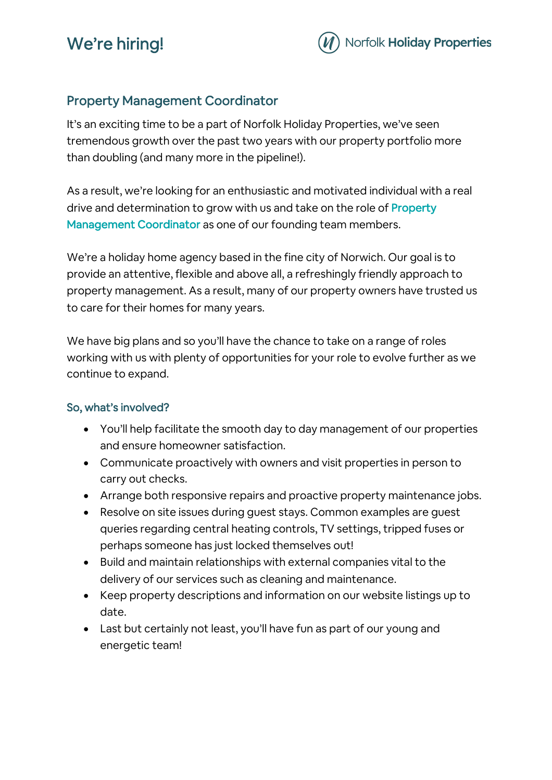# We're hiring!



## Property Management Coordinator

It's an exciting time to be a part of Norfolk Holiday Properties, we've seen tremendous growth over the past two years with our property portfolio more than doubling (and many more in the pipeline!).

As a result, we're looking for an enthusiastic and motivated individual with a real drive and determination to grow with us and take on the role of **Property** Management Coordinator as one of our founding team members.

We're a holiday home agency based in the fine city of Norwich. Our goal is to provide an attentive, flexible and above all, a refreshingly friendly approach to property management. As a result, many of our property owners have trusted us to care for their homes for many years.

We have big plans and so you'll have the chance to take on a range of roles working with us with plenty of opportunities for your role to evolve further as we continue to expand.

### So, what's involved?

- You'll help facilitate the smooth day to day management of our properties and ensure homeowner satisfaction.
- Communicate proactively with owners and visit properties in person to carry out checks.
- Arrange both responsive repairs and proactive property maintenance jobs.
- Resolve on site issues during guest stays. Common examples are guest queries regarding central heating controls, TV settings, tripped fuses or perhaps someone has just locked themselves out!
- Build and maintain relationships with external companies vital to the delivery of our services such as cleaning and maintenance.
- Keep property descriptions and information on our website listings up to date.
- Last but certainly not least, you'll have fun as part of our young and energetic team!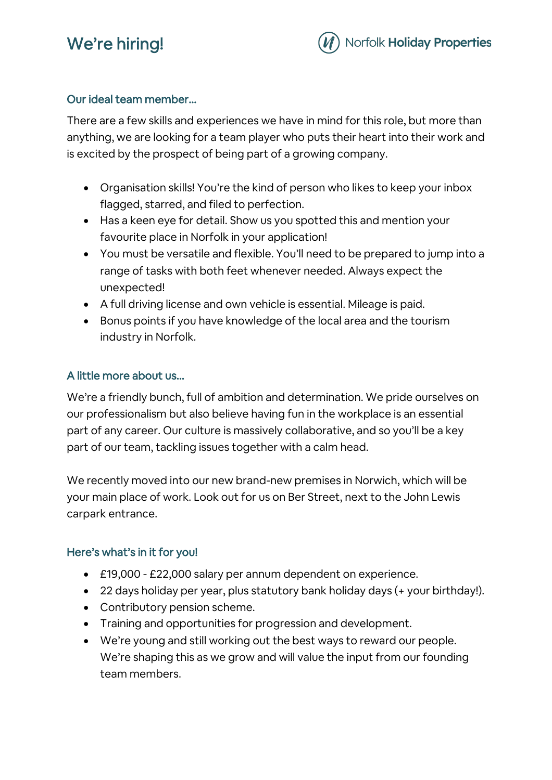# We're hiring!



### Our ideal team member…

There are a few skills and experiences we have in mind for this role, but more than anything, we are looking for a team player who puts their heart into their work and is excited by the prospect of being part of a growing company.

- Organisation skills! You're the kind of person who likes to keep your inbox flagged, starred, and filed to perfection.
- Has a keen eye for detail. Show us you spotted this and mention your favourite place in Norfolk in your application!
- You must be versatile and flexible. You'll need to be prepared to jump into a range of tasks with both feet whenever needed. Always expect the unexpected!
- A full driving license and own vehicle is essential. Mileage is paid.
- Bonus points if you have knowledge of the local area and the tourism industry in Norfolk.

### A little more about us…

We're a friendly bunch, full of ambition and determination. We pride ourselves on our professionalism but also believe having fun in the workplace is an essential part of any career. Our culture is massively collaborative, and so you'll be a key part of our team, tackling issues together with a calm head.

We recently moved into our new brand-new premises in Norwich, which will be your main place of work. Look out for us on Ber Street, next to the John Lewis carpark entrance.

### Here's what's in it for you!

- £19,000 £22,000 salary per annum dependent on experience.
- 22 days holiday per year, plus statutory bank holiday days (+ your birthday!).
- Contributory pension scheme.
- Training and opportunities for progression and development.
- We're young and still working out the best ways to reward our people. We're shaping this as we grow and will value the input from our founding team members.